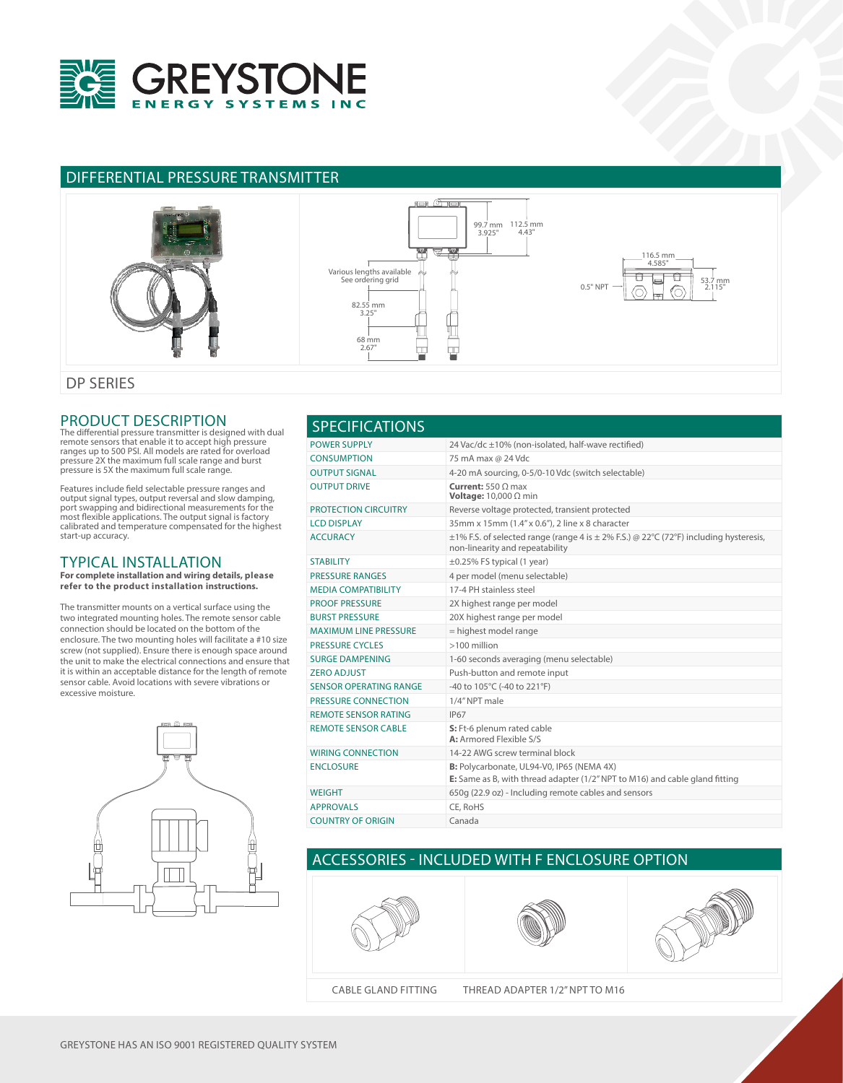

## DIFFERENTIAL PRESSURE TRANSMITTER



#### PRODUCT DESCRIPTION

The differential pressure transmitter is designed with dual remote sensors that enable it to accept high pressure ranges up to 500 PSI. All models are rated for overload pressure 2X the maximum full scale range and burst pressure is 5X the maximum full scale range.

Features include field selectable pressure ranges and<br>output signal types, output reversal and slow damping,<br>port swapping and bidirectional measurements for the<br>most flexible applications. The output signal is factory<br>cal start-up accuracy.

#### TYPICAL INSTALLATION

**For complete installation and wiring details, please refer to the product installation instructions.**

The transmitter mounts on a vertical surface using the two integrated mounting holes. The remote sensor cable connection should be located on the bottom of the enclosure. The two mounting holes will facilitate a #10 size screw (not supplied). Ensure there is enough space around the unit to make the electrical connections and ensure that it is within an acceptable distance for the length of remote sensor cable. Avoid locations with severe vibrations or excessive moisture.



| <b>SPECIFICATIONS</b>         |                                                                                                                                   |  |  |
|-------------------------------|-----------------------------------------------------------------------------------------------------------------------------------|--|--|
| <b>POWER SUPPLY</b>           | 24 Vac/dc ±10% (non-isolated, half-wave rectified)                                                                                |  |  |
| <b>CONSUMPTION</b>            | 75 mA max @ 24 Vdc                                                                                                                |  |  |
| <b>OUTPUT SIGNAL</b>          | 4-20 mA sourcing, 0-5/0-10 Vdc (switch selectable)                                                                                |  |  |
| <b>OUTPUT DRIVE</b>           | <b>Current:</b> 550 $\Omega$ max<br>Voltage: $10,000 \Omega$ min                                                                  |  |  |
| <b>PROTECTION CIRCUITRY</b>   | Reverse voltage protected, transient protected                                                                                    |  |  |
| <b>LCD DISPLAY</b>            | 35mm x 15mm (1.4" x 0.6"), 2 line x 8 character                                                                                   |  |  |
| <b>ACCURACY</b>               | $\pm$ 1% F.S. of selected range (range 4 is $\pm$ 2% F.S.) @ 22°C (72°F) including hysteresis,<br>non-linearity and repeatability |  |  |
| <b>STABILITY</b>              | $\pm$ 0.25% FS typical (1 year)                                                                                                   |  |  |
| <b>PRESSURE RANGES</b>        | 4 per model (menu selectable)                                                                                                     |  |  |
| <b>MEDIA COMPATIBILITY</b>    | 17-4 PH stainless steel                                                                                                           |  |  |
| <b>PROOF PRESSURE</b>         | 2X highest range per model                                                                                                        |  |  |
| <b>BURST PRESSURE</b>         | 20X highest range per model                                                                                                       |  |  |
| <b>MAXIMUM LINE PRESSURE</b>  | = highest model range                                                                                                             |  |  |
| <b>PRESSURE CYCLES</b>        | >100 million                                                                                                                      |  |  |
| <b>SURGE DAMPENING</b>        | 1-60 seconds averaging (menu selectable)                                                                                          |  |  |
| <b>ZERO ADJUST</b>            | Push-button and remote input                                                                                                      |  |  |
| <b>SENSOR OPERATING RANGE</b> | -40 to 105°C (-40 to 221°F)                                                                                                       |  |  |
| PRESSURE CONNECTION           | 1/4" NPT male                                                                                                                     |  |  |
| <b>REMOTE SENSOR RATING</b>   | <b>IP67</b>                                                                                                                       |  |  |
| <b>REMOTE SENSOR CABLE</b>    | S: Ft-6 plenum rated cable<br>A: Armored Flexible S/S                                                                             |  |  |
| <b>WIRING CONNECTION</b>      | 14-22 AWG screw terminal block                                                                                                    |  |  |
| <b>ENCLOSURE</b>              | B: Polycarbonate, UL94-V0, IP65 (NEMA 4X)<br>E: Same as B, with thread adapter (1/2" NPT to M16) and cable gland fitting          |  |  |
| WEIGHT                        | 650g (22.9 oz) - Including remote cables and sensors                                                                              |  |  |
| <b>APPROVALS</b>              | CE, RoHS                                                                                                                          |  |  |
| <b>COUNTRY OF ORIGIN</b>      | Canada                                                                                                                            |  |  |

# ACCESSORIES - INCLUDED WITH F ENCLOSURE OPTION





CABLE GLAND FITTING THREAD ADAPTER 1/2" NPT TO M16